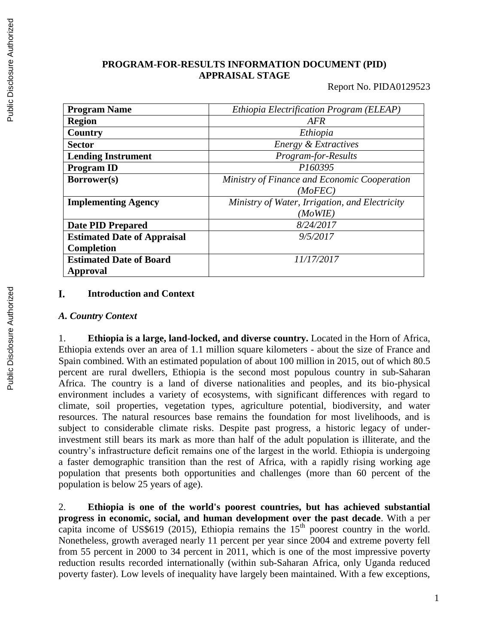#### **PROGRAM-FOR-RESULTS INFORMATION DOCUMENT (PID) APPRAISAL STAGE**

Report No. PIDA0129523

| <b>Program Name</b>                | Ethiopia Electrification Program (ELEAP)       |  |  |
|------------------------------------|------------------------------------------------|--|--|
| <b>Region</b>                      | AFR                                            |  |  |
| Country                            | Ethiopia                                       |  |  |
| <b>Sector</b>                      | Energy & Extractives                           |  |  |
| <b>Lending Instrument</b>          | Program-for-Results                            |  |  |
| <b>Program ID</b>                  | P160395                                        |  |  |
| Borrower(s)                        | Ministry of Finance and Economic Cooperation   |  |  |
|                                    | (MoFEC)                                        |  |  |
| <b>Implementing Agency</b>         | Ministry of Water, Irrigation, and Electricity |  |  |
|                                    | (MoWIE)                                        |  |  |
| <b>Date PID Prepared</b>           | 8/24/2017                                      |  |  |
| <b>Estimated Date of Appraisal</b> | 9/5/2017                                       |  |  |
| <b>Completion</b>                  |                                                |  |  |
| <b>Estimated Date of Board</b>     | 11/17/2017                                     |  |  |
| Approval                           |                                                |  |  |

#### I. **Introduction and Context**

#### *A. Country Context*

1. **Ethiopia is a large, land-locked, and diverse country.** Located in the Horn of Africa, Ethiopia extends over an area of 1.1 million square kilometers - about the size of France and Spain combined. With an estimated population of about 100 million in 2015, out of which 80.5 percent are rural dwellers, Ethiopia is the second most populous country in sub-Saharan Africa. The country is a land of diverse nationalities and peoples, and its bio-physical environment includes a variety of ecosystems, with significant differences with regard to climate, soil properties, vegetation types, agriculture potential, biodiversity, and water resources. The natural resources base remains the foundation for most livelihoods, and is subject to considerable climate risks. Despite past progress, a historic legacy of underinvestment still bears its mark as more than half of the adult population is illiterate, and the country's infrastructure deficit remains one of the largest in the world. Ethiopia is undergoing a faster demographic transition than the rest of Africa, with a rapidly rising working age population that presents both opportunities and challenges (more than 60 percent of the population is below 25 years of age).

2. **Ethiopia is one of the world's poorest countries, but has achieved substantial progress in economic, social, and human development over the past decade**. With a per capita income of US\$619 (2015), Ethiopia remains the  $15<sup>th</sup>$  poorest country in the world. Nonetheless, growth averaged nearly 11 percent per year since 2004 and extreme poverty fell from 55 percent in 2000 to 34 percent in 2011, which is one of the most impressive poverty reduction results recorded internationally (within sub-Saharan Africa, only Uganda reduced poverty faster). Low levels of inequality have largely been maintained. With a few exceptions,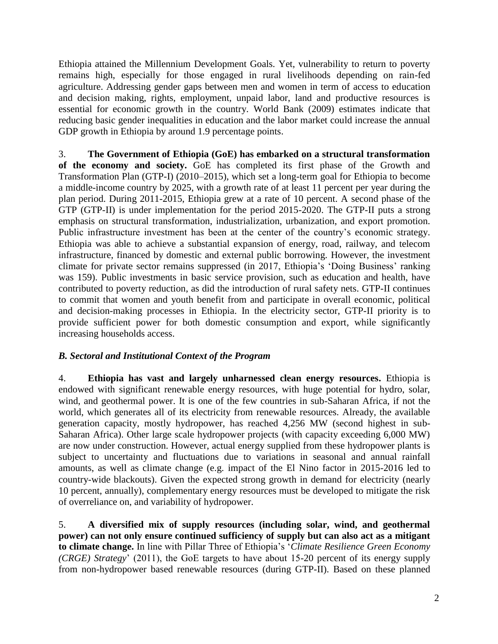Ethiopia attained the Millennium Development Goals. Yet, vulnerability to return to poverty remains high, especially for those engaged in rural livelihoods depending on rain-fed agriculture. Addressing gender gaps between men and women in term of access to education and decision making, rights, employment, unpaid labor, land and productive resources is essential for economic growth in the country. World Bank (2009) estimates indicate that reducing basic gender inequalities in education and the labor market could increase the annual GDP growth in Ethiopia by around 1.9 percentage points.

3. **The Government of Ethiopia (GoE) has embarked on a structural transformation of the economy and society.** GoE has completed its first phase of the Growth and Transformation Plan (GTP-I) (2010–2015), which set a long-term goal for Ethiopia to become a middle-income country by 2025, with a growth rate of at least 11 percent per year during the plan period. During 2011-2015, Ethiopia grew at a rate of 10 percent. A second phase of the GTP (GTP-II) is under implementation for the period 2015-2020. The GTP-II puts a strong emphasis on structural transformation, industrialization, urbanization, and export promotion. Public infrastructure investment has been at the center of the country's economic strategy. Ethiopia was able to achieve a substantial expansion of energy, road, railway, and telecom infrastructure, financed by domestic and external public borrowing. However, the investment climate for private sector remains suppressed (in 2017, Ethiopia's 'Doing Business' ranking was 159). Public investments in basic service provision, such as education and health, have contributed to poverty reduction, as did the introduction of rural safety nets. GTP-II continues to commit that women and youth benefit from and participate in overall economic, political and decision-making processes in Ethiopia. In the electricity sector, GTP-II priority is to provide sufficient power for both domestic consumption and export, while significantly increasing households access.

## *B. Sectoral and Institutional Context of the Program*

4. **Ethiopia has vast and largely unharnessed clean energy resources.** Ethiopia is endowed with significant renewable energy resources, with huge potential for hydro, solar, wind, and geothermal power. It is one of the few countries in sub-Saharan Africa, if not the world, which generates all of its electricity from renewable resources. Already, the available generation capacity, mostly hydropower, has reached 4,256 MW (second highest in sub-Saharan Africa). Other large scale hydropower projects (with capacity exceeding 6,000 MW) are now under construction. However, actual energy supplied from these hydropower plants is subject to uncertainty and fluctuations due to variations in seasonal and annual rainfall amounts, as well as climate change (e.g. impact of the El Nino factor in 2015-2016 led to country-wide blackouts). Given the expected strong growth in demand for electricity (nearly 10 percent, annually), complementary energy resources must be developed to mitigate the risk of overreliance on, and variability of hydropower.

5. **A diversified mix of supply resources (including solar, wind, and geothermal power) can not only ensure continued sufficiency of supply but can also act as a mitigant to climate change.** In line with Pillar Three of Ethiopia's '*Climate Resilience Green Economy (CRGE) Strategy*' (2011), the GoE targets to have about 15-20 percent of its energy supply from non-hydropower based renewable resources (during GTP-II). Based on these planned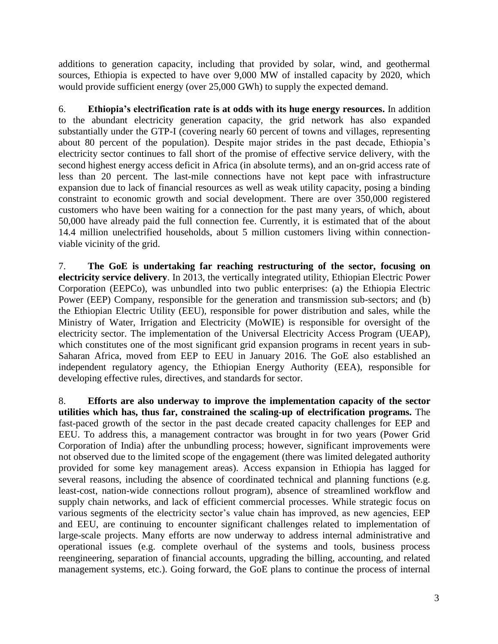additions to generation capacity, including that provided by solar, wind, and geothermal sources, Ethiopia is expected to have over 9,000 MW of installed capacity by 2020, which would provide sufficient energy (over 25,000 GWh) to supply the expected demand.

6. **Ethiopia's electrification rate is at odds with its huge energy resources.** In addition to the abundant electricity generation capacity, the grid network has also expanded substantially under the GTP-I (covering nearly 60 percent of towns and villages, representing about 80 percent of the population). Despite major strides in the past decade, Ethiopia's electricity sector continues to fall short of the promise of effective service delivery, with the second highest energy access deficit in Africa (in absolute terms), and an on-grid access rate of less than 20 percent. The last-mile connections have not kept pace with infrastructure expansion due to lack of financial resources as well as weak utility capacity, posing a binding constraint to economic growth and social development. There are over 350,000 registered customers who have been waiting for a connection for the past many years, of which, about 50,000 have already paid the full connection fee. Currently, it is estimated that of the about 14.4 million unelectrified households, about 5 million customers living within connectionviable vicinity of the grid.

7. **The GoE is undertaking far reaching restructuring of the sector, focusing on electricity service delivery**. In 2013, the vertically integrated utility, Ethiopian Electric Power Corporation (EEPCo), was unbundled into two public enterprises: (a) the Ethiopia Electric Power (EEP) Company, responsible for the generation and transmission sub-sectors; and (b) the Ethiopian Electric Utility (EEU), responsible for power distribution and sales, while the Ministry of Water, Irrigation and Electricity (MoWIE) is responsible for oversight of the electricity sector. The implementation of the Universal Electricity Access Program (UEAP), which constitutes one of the most significant grid expansion programs in recent years in sub-Saharan Africa, moved from EEP to EEU in January 2016. The GoE also established an independent regulatory agency, the Ethiopian Energy Authority (EEA), responsible for developing effective rules, directives, and standards for sector.

8. **Efforts are also underway to improve the implementation capacity of the sector utilities which has, thus far, constrained the scaling-up of electrification programs.** The fast-paced growth of the sector in the past decade created capacity challenges for EEP and EEU. To address this, a management contractor was brought in for two years (Power Grid Corporation of India) after the unbundling process; however, significant improvements were not observed due to the limited scope of the engagement (there was limited delegated authority provided for some key management areas). Access expansion in Ethiopia has lagged for several reasons, including the absence of coordinated technical and planning functions (e.g. least-cost, nation-wide connections rollout program), absence of streamlined workflow and supply chain networks, and lack of efficient commercial processes. While strategic focus on various segments of the electricity sector's value chain has improved, as new agencies, EEP and EEU, are continuing to encounter significant challenges related to implementation of large-scale projects. Many efforts are now underway to address internal administrative and operational issues (e.g. complete overhaul of the systems and tools, business process reengineering, separation of financial accounts, upgrading the billing, accounting, and related management systems, etc.). Going forward, the GoE plans to continue the process of internal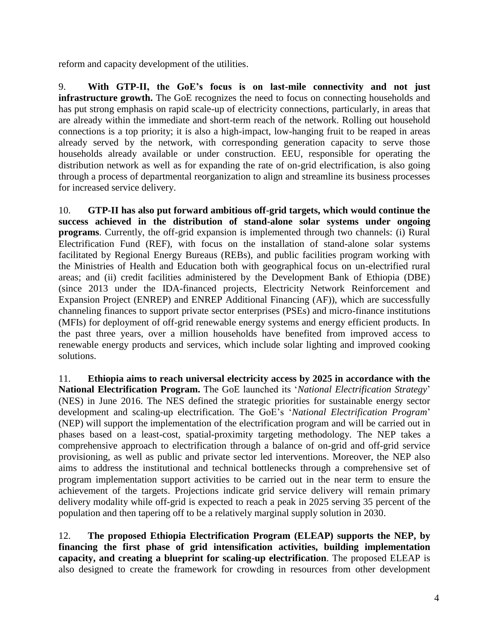reform and capacity development of the utilities.

9. **With GTP-II, the GoE's focus is on last-mile connectivity and not just infrastructure growth.** The GoE recognizes the need to focus on connecting households and has put strong emphasis on rapid scale-up of electricity connections, particularly, in areas that are already within the immediate and short-term reach of the network. Rolling out household connections is a top priority; it is also a high-impact, low-hanging fruit to be reaped in areas already served by the network, with corresponding generation capacity to serve those households already available or under construction. EEU, responsible for operating the distribution network as well as for expanding the rate of on-grid electrification, is also going through a process of departmental reorganization to align and streamline its business processes for increased service delivery.

10. **GTP-II has also put forward ambitious off-grid targets, which would continue the success achieved in the distribution of stand-alone solar systems under ongoing programs**. Currently, the off-grid expansion is implemented through two channels: (i) Rural Electrification Fund (REF), with focus on the installation of stand-alone solar systems facilitated by Regional Energy Bureaus (REBs), and public facilities program working with the Ministries of Health and Education both with geographical focus on un-electrified rural areas; and (ii) credit facilities administered by the Development Bank of Ethiopia (DBE) (since 2013 under the IDA-financed projects, Electricity Network Reinforcement and Expansion Project (ENREP) and ENREP Additional Financing (AF)), which are successfully channeling finances to support private sector enterprises (PSEs) and micro-finance institutions (MFIs) for deployment of off-grid renewable energy systems and energy efficient products. In the past three years, over a million households have benefited from improved access to renewable energy products and services, which include solar lighting and improved cooking solutions.

11. **Ethiopia aims to reach universal electricity access by 2025 in accordance with the National Electrification Program.** The GoE launched its '*National Electrification Strategy*' (NES) in June 2016. The NES defined the strategic priorities for sustainable energy sector development and scaling-up electrification. The GoE's '*National Electrification Program*' (NEP) will support the implementation of the electrification program and will be carried out in phases based on a least-cost, spatial-proximity targeting methodology. The NEP takes a comprehensive approach to electrification through a balance of on-grid and off-grid service provisioning, as well as public and private sector led interventions. Moreover, the NEP also aims to address the institutional and technical bottlenecks through a comprehensive set of program implementation support activities to be carried out in the near term to ensure the achievement of the targets. Projections indicate grid service delivery will remain primary delivery modality while off-grid is expected to reach a peak in 2025 serving 35 percent of the population and then tapering off to be a relatively marginal supply solution in 2030.

12. **The proposed Ethiopia Electrification Program (ELEAP) supports the NEP, by financing the first phase of grid intensification activities, building implementation capacity, and creating a blueprint for scaling-up electrification**. The proposed ELEAP is also designed to create the framework for crowding in resources from other development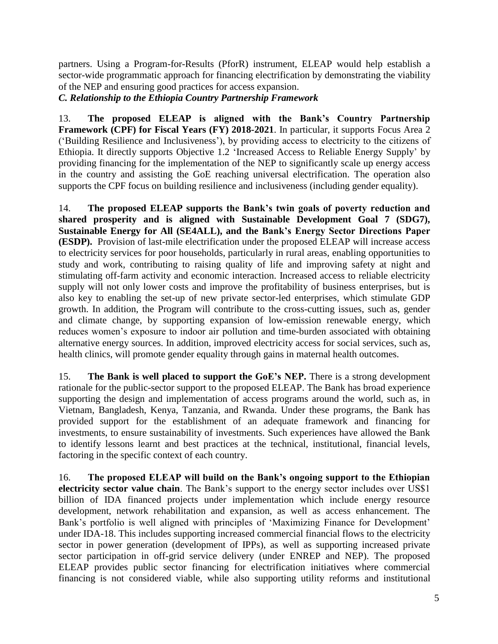partners. Using a Program-for-Results (PforR) instrument, ELEAP would help establish a sector-wide programmatic approach for financing electrification by demonstrating the viability of the NEP and ensuring good practices for access expansion.

*C. Relationship to the Ethiopia Country Partnership Framework* 

13. **The proposed ELEAP is aligned with the Bank's Country Partnership Framework (CPF) for Fiscal Years (FY) 2018-2021**. In particular, it supports Focus Area 2 ('Building Resilience and Inclusiveness'), by providing access to electricity to the citizens of Ethiopia. It directly supports Objective 1.2 'Increased Access to Reliable Energy Supply' by providing financing for the implementation of the NEP to significantly scale up energy access in the country and assisting the GoE reaching universal electrification. The operation also supports the CPF focus on building resilience and inclusiveness (including gender equality).

14. **The proposed ELEAP supports the Bank's twin goals of poverty reduction and shared prosperity and is aligned with Sustainable Development Goal 7 (SDG7), Sustainable Energy for All (SE4ALL), and the Bank's Energy Sector Directions Paper (ESDP).** Provision of last-mile electrification under the proposed ELEAP will increase access to electricity services for poor households, particularly in rural areas, enabling opportunities to study and work, contributing to raising quality of life and improving safety at night and stimulating off-farm activity and economic interaction. Increased access to reliable electricity supply will not only lower costs and improve the profitability of business enterprises, but is also key to enabling the set-up of new private sector-led enterprises, which stimulate GDP growth. In addition, the Program will contribute to the cross-cutting issues, such as, gender and climate change, by supporting expansion of low-emission renewable energy, which reduces women's exposure to indoor air pollution and time-burden associated with obtaining alternative energy sources. In addition, improved electricity access for social services, such as, health clinics, will promote gender equality through gains in maternal health outcomes.

15. **The Bank is well placed to support the GoE's NEP.** There is a strong development rationale for the public-sector support to the proposed ELEAP. The Bank has broad experience supporting the design and implementation of access programs around the world, such as, in Vietnam, Bangladesh, Kenya, Tanzania, and Rwanda. Under these programs, the Bank has provided support for the establishment of an adequate framework and financing for investments, to ensure sustainability of investments. Such experiences have allowed the Bank to identify lessons learnt and best practices at the technical, institutional, financial levels, factoring in the specific context of each country.

16. **The proposed ELEAP will build on the Bank's ongoing support to the Ethiopian electricity sector value chain**. The Bank's support to the energy sector includes over US\$1 billion of IDA financed projects under implementation which include energy resource development, network rehabilitation and expansion, as well as access enhancement. The Bank's portfolio is well aligned with principles of 'Maximizing Finance for Development' under IDA-18. This includes supporting increased commercial financial flows to the electricity sector in power generation (development of IPPs), as well as supporting increased private sector participation in off-grid service delivery (under ENREP and NEP). The proposed ELEAP provides public sector financing for electrification initiatives where commercial financing is not considered viable, while also supporting utility reforms and institutional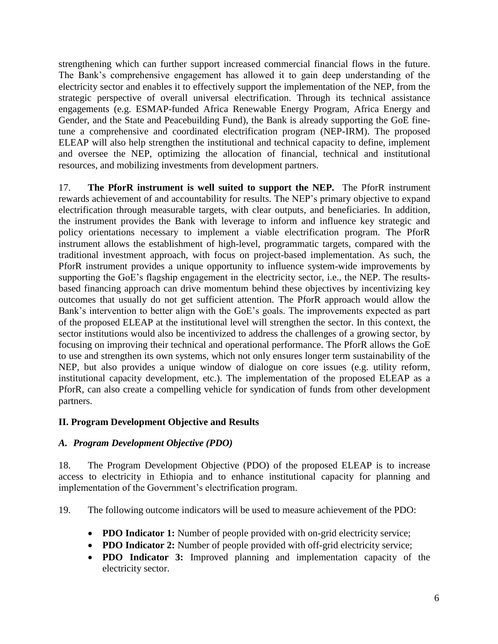strengthening which can further support increased commercial financial flows in the future. The Bank's comprehensive engagement has allowed it to gain deep understanding of the electricity sector and enables it to effectively support the implementation of the NEP, from the strategic perspective of overall universal electrification. Through its technical assistance engagements (e.g. ESMAP-funded Africa Renewable Energy Program, Africa Energy and Gender, and the State and Peacebuilding Fund), the Bank is already supporting the GoE finetune a comprehensive and coordinated electrification program (NEP-IRM). The proposed ELEAP will also help strengthen the institutional and technical capacity to define, implement and oversee the NEP, optimizing the allocation of financial, technical and institutional resources, and mobilizing investments from development partners.

17. **The PforR instrument is well suited to support the NEP.** The PforR instrument rewards achievement of and accountability for results. The NEP's primary objective to expand electrification through measurable targets, with clear outputs, and beneficiaries. In addition, the instrument provides the Bank with leverage to inform and influence key strategic and policy orientations necessary to implement a viable electrification program. The PforR instrument allows the establishment of high-level, programmatic targets, compared with the traditional investment approach, with focus on project-based implementation. As such, the PforR instrument provides a unique opportunity to influence system-wide improvements by supporting the GoE's flagship engagement in the electricity sector, i.e., the NEP. The resultsbased financing approach can drive momentum behind these objectives by incentivizing key outcomes that usually do not get sufficient attention. The PforR approach would allow the Bank's intervention to better align with the GoE's goals. The improvements expected as part of the proposed ELEAP at the institutional level will strengthen the sector. In this context, the sector institutions would also be incentivized to address the challenges of a growing sector, by focusing on improving their technical and operational performance. The PforR allows the GoE to use and strengthen its own systems, which not only ensures longer term sustainability of the NEP, but also provides a unique window of dialogue on core issues (e.g. utility reform, institutional capacity development, etc.). The implementation of the proposed ELEAP as a PforR, can also create a compelling vehicle for syndication of funds from other development partners.

## **II. Program Development Objective and Results**

#### *A. Program Development Objective (PDO)*

18. The Program Development Objective (PDO) of the proposed ELEAP is to increase access to electricity in Ethiopia and to enhance institutional capacity for planning and implementation of the Government's electrification program.

19. The following outcome indicators will be used to measure achievement of the PDO:

- **PDO Indicator 1:** Number of people provided with on-grid electricity service;
- **PDO Indicator 2:** Number of people provided with off-grid electricity service;
- **PDO Indicator 3:** Improved planning and implementation capacity of the electricity sector.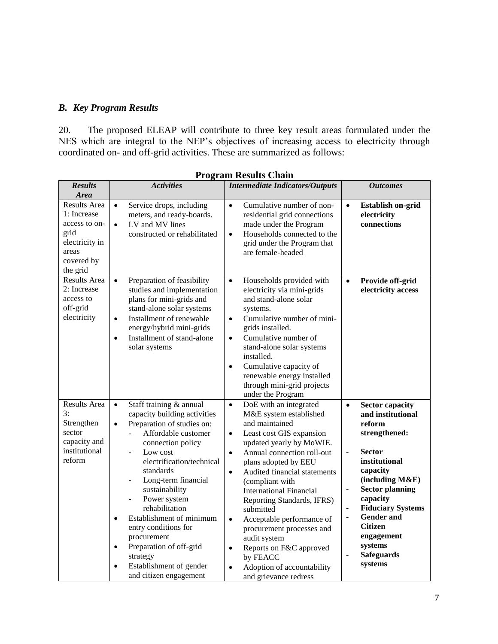# *B. Key Program Results*

20. The proposed ELEAP will contribute to three key result areas formulated under the NES which are integral to the NEP's objectives of increasing access to electricity through coordinated on- and off-grid activities. These are summarized as follows:

| <b>Results</b><br><b>Area</b>                                                                                    | <b>Activities</b>                                                                                                                                                                                                                                                                                                                                                                                                                                                                                                    | <b>Outcomes</b>                                                                                                                                                                                                                                                                                                                                                                                                                                                                                                                                                                     |                                                                                                                                                                                                                                                                                                                                                                                                                               |
|------------------------------------------------------------------------------------------------------------------|----------------------------------------------------------------------------------------------------------------------------------------------------------------------------------------------------------------------------------------------------------------------------------------------------------------------------------------------------------------------------------------------------------------------------------------------------------------------------------------------------------------------|-------------------------------------------------------------------------------------------------------------------------------------------------------------------------------------------------------------------------------------------------------------------------------------------------------------------------------------------------------------------------------------------------------------------------------------------------------------------------------------------------------------------------------------------------------------------------------------|-------------------------------------------------------------------------------------------------------------------------------------------------------------------------------------------------------------------------------------------------------------------------------------------------------------------------------------------------------------------------------------------------------------------------------|
| <b>Results Area</b><br>1: Increase<br>access to on-<br>grid<br>electricity in<br>areas<br>covered by<br>the grid | Service drops, including<br>$\bullet$<br>meters, and ready-boards.<br>LV and MV lines<br>$\bullet$<br>constructed or rehabilitated                                                                                                                                                                                                                                                                                                                                                                                   | Cumulative number of non-<br>$\bullet$<br>residential grid connections<br>made under the Program<br>Households connected to the<br>$\bullet$<br>grid under the Program that<br>are female-headed                                                                                                                                                                                                                                                                                                                                                                                    | <b>Establish on-grid</b><br>$\bullet$<br>electricity<br>connections                                                                                                                                                                                                                                                                                                                                                           |
| Results Area<br>2: Increase<br>access to<br>off-grid<br>electricity                                              | Preparation of feasibility<br>$\bullet$<br>studies and implementation<br>plans for mini-grids and<br>stand-alone solar systems<br>Installment of renewable<br>$\bullet$<br>energy/hybrid mini-grids<br>Installment of stand-alone<br>$\bullet$<br>solar systems                                                                                                                                                                                                                                                      | Households provided with<br>$\bullet$<br>electricity via mini-grids<br>and stand-alone solar<br>systems.<br>Cumulative number of mini-<br>$\bullet$<br>grids installed.<br>Cumulative number of<br>$\bullet$<br>stand-alone solar systems<br>installed.<br>Cumulative capacity of<br>$\bullet$<br>renewable energy installed<br>through mini-grid projects<br>under the Program                                                                                                                                                                                                     | Provide off-grid<br>$\bullet$<br>electricity access                                                                                                                                                                                                                                                                                                                                                                           |
| Results Area<br>3:<br>Strengthen<br>sector<br>capacity and<br>institutional<br>reform                            | Staff training & annual<br>$\bullet$<br>capacity building activities<br>Preparation of studies on:<br>$\bullet$<br>Affordable customer<br>connection policy<br>Low cost<br>electrification/technical<br>standards<br>Long-term financial<br>sustainability<br>Power system<br>$\blacksquare$<br>rehabilitation<br>Establishment of minimum<br>$\bullet$<br>entry conditions for<br>procurement<br>Preparation of off-grid<br>$\bullet$<br>strategy<br>Establishment of gender<br>$\bullet$<br>and citizen engagement | DoE with an integrated<br>$\bullet$<br>M&E system established<br>and maintained<br>Least cost GIS expansion<br>$\bullet$<br>updated yearly by MoWIE.<br>Annual connection roll-out<br>$\bullet$<br>plans adopted by EEU<br>Audited financial statements<br>$\bullet$<br>(compliant with<br><b>International Financial</b><br>Reporting Standards, IFRS)<br>submitted<br>Acceptable performance of<br>$\bullet$<br>procurement processes and<br>audit system<br>Reports on F&C approved<br>$\bullet$<br>by FEACC<br>Adoption of accountability<br>$\bullet$<br>and grievance redress | <b>Sector capacity</b><br>$\bullet$<br>and institutional<br>reform<br>strengthened:<br><b>Sector</b><br>$\blacksquare$<br>institutional<br>capacity<br>(including M&E)<br><b>Sector planning</b><br>$\overline{\phantom{a}}$<br>capacity<br><b>Fiduciary Systems</b><br>$\overline{\phantom{a}}$<br><b>Gender</b> and<br>÷,<br><b>Citizen</b><br>engagement<br>systems<br><b>Safeguards</b><br>$\bar{\phantom{a}}$<br>systems |

#### **Program Results Chain**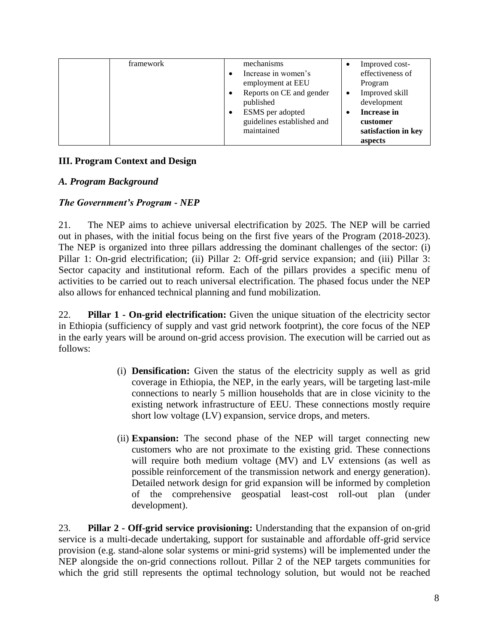| <b>framework</b> |           | mechanisms                 |           | Improved cost-      |
|------------------|-----------|----------------------------|-----------|---------------------|
|                  |           | Increase in women's        |           | effectiveness of    |
|                  |           | employment at EEU          |           | Program             |
|                  |           | Reports on CE and gender   | $\bullet$ | Improved skill      |
|                  |           | published                  |           | development         |
|                  | $\bullet$ | ESMS per adopted           |           | <b>Increase in</b>  |
|                  |           | guidelines established and |           | customer            |
|                  |           | maintained                 |           | satisfaction in key |
|                  |           |                            |           | aspects             |

# **III. Program Context and Design**

#### *A. Program Background*

## *The Government's Program - NEP*

21. The NEP aims to achieve universal electrification by 2025. The NEP will be carried out in phases, with the initial focus being on the first five years of the Program (2018-2023). The NEP is organized into three pillars addressing the dominant challenges of the sector: (i) Pillar 1: On-grid electrification; (ii) Pillar 2: Off-grid service expansion; and (iii) Pillar 3: Sector capacity and institutional reform. Each of the pillars provides a specific menu of activities to be carried out to reach universal electrification. The phased focus under the NEP also allows for enhanced technical planning and fund mobilization.

22. **Pillar 1 - On-grid electrification:** Given the unique situation of the electricity sector in Ethiopia (sufficiency of supply and vast grid network footprint), the core focus of the NEP in the early years will be around on-grid access provision. The execution will be carried out as follows:

- (i) **Densification:** Given the status of the electricity supply as well as grid coverage in Ethiopia, the NEP, in the early years, will be targeting last-mile connections to nearly 5 million households that are in close vicinity to the existing network infrastructure of EEU. These connections mostly require short low voltage (LV) expansion, service drops, and meters.
- (ii) **Expansion:** The second phase of the NEP will target connecting new customers who are not proximate to the existing grid. These connections will require both medium voltage (MV) and LV extensions (as well as possible reinforcement of the transmission network and energy generation). Detailed network design for grid expansion will be informed by completion of the comprehensive geospatial least-cost roll-out plan (under development).

23. **Pillar 2 - Off-grid service provisioning:** Understanding that the expansion of on-grid service is a multi-decade undertaking, support for sustainable and affordable off-grid service provision (e.g. stand-alone solar systems or mini-grid systems) will be implemented under the NEP alongside the on-grid connections rollout. Pillar 2 of the NEP targets communities for which the grid still represents the optimal technology solution, but would not be reached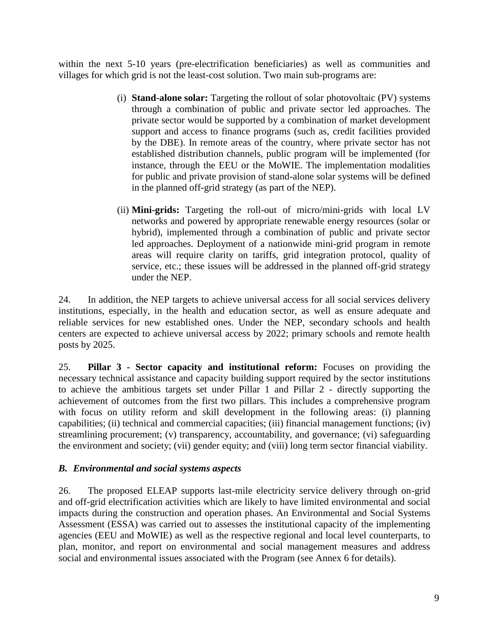within the next 5-10 years (pre-electrification beneficiaries) as well as communities and villages for which grid is not the least-cost solution. Two main sub-programs are:

- (i) **Stand-alone solar:** Targeting the rollout of solar photovoltaic (PV) systems through a combination of public and private sector led approaches. The private sector would be supported by a combination of market development support and access to finance programs (such as, credit facilities provided by the DBE). In remote areas of the country, where private sector has not established distribution channels, public program will be implemented (for instance, through the EEU or the MoWIE. The implementation modalities for public and private provision of stand-alone solar systems will be defined in the planned off-grid strategy (as part of the NEP).
- (ii) **Mini-grids:** Targeting the roll-out of micro/mini-grids with local LV networks and powered by appropriate renewable energy resources (solar or hybrid), implemented through a combination of public and private sector led approaches. Deployment of a nationwide mini-grid program in remote areas will require clarity on tariffs, grid integration protocol, quality of service, etc.; these issues will be addressed in the planned off-grid strategy under the NEP.

24. In addition, the NEP targets to achieve universal access for all social services delivery institutions, especially, in the health and education sector, as well as ensure adequate and reliable services for new established ones. Under the NEP, secondary schools and health centers are expected to achieve universal access by 2022; primary schools and remote health posts by 2025.

25. **Pillar 3 - Sector capacity and institutional reform:** Focuses on providing the necessary technical assistance and capacity building support required by the sector institutions to achieve the ambitious targets set under Pillar 1 and Pillar 2 - directly supporting the achievement of outcomes from the first two pillars. This includes a comprehensive program with focus on utility reform and skill development in the following areas: (i) planning capabilities; (ii) technical and commercial capacities; (iii) financial management functions; (iv) streamlining procurement; (v) transparency, accountability, and governance; (vi) safeguarding the environment and society; (vii) gender equity; and (viii) long term sector financial viability.

## *B. Environmental and social systems aspects*

26. The proposed ELEAP supports last-mile electricity service delivery through on-grid and off-grid electrification activities which are likely to have limited environmental and social impacts during the construction and operation phases. An Environmental and Social Systems Assessment (ESSA) was carried out to assesses the institutional capacity of the implementing agencies (EEU and MoWIE) as well as the respective regional and local level counterparts, to plan, monitor, and report on environmental and social management measures and address social and environmental issues associated with the Program (see Annex 6 for details).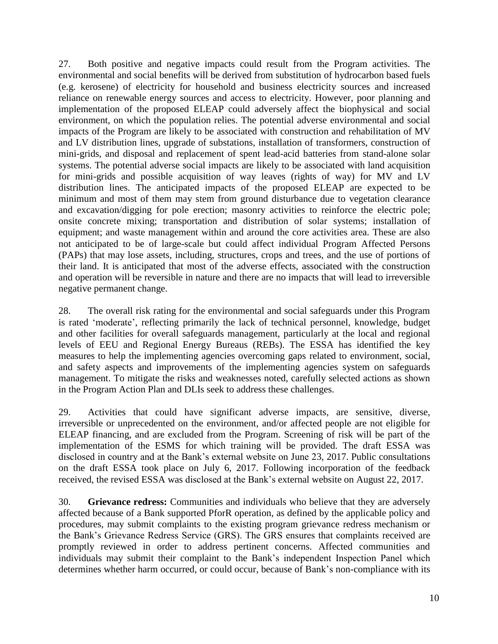27. Both positive and negative impacts could result from the Program activities. The environmental and social benefits will be derived from substitution of hydrocarbon based fuels (e.g. kerosene) of electricity for household and business electricity sources and increased reliance on renewable energy sources and access to electricity. However, poor planning and implementation of the proposed ELEAP could adversely affect the biophysical and social environment, on which the population relies. The potential adverse environmental and social impacts of the Program are likely to be associated with construction and rehabilitation of MV and LV distribution lines, upgrade of substations, installation of transformers, construction of mini-grids, and disposal and replacement of spent lead-acid batteries from stand-alone solar systems. The potential adverse social impacts are likely to be associated with land acquisition for mini-grids and possible acquisition of way leaves (rights of way) for MV and LV distribution lines. The anticipated impacts of the proposed ELEAP are expected to be minimum and most of them may stem from ground disturbance due to vegetation clearance and excavation/digging for pole erection; masonry activities to reinforce the electric pole; onsite concrete mixing; transportation and distribution of solar systems; installation of equipment; and waste management within and around the core activities area. These are also not anticipated to be of large-scale but could affect individual Program Affected Persons (PAPs) that may lose assets, including, structures, crops and trees, and the use of portions of their land. It is anticipated that most of the adverse effects, associated with the construction and operation will be reversible in nature and there are no impacts that will lead to irreversible negative permanent change.

28. The overall risk rating for the environmental and social safeguards under this Program is rated 'moderate', reflecting primarily the lack of technical personnel, knowledge, budget and other facilities for overall safeguards management, particularly at the local and regional levels of EEU and Regional Energy Bureaus (REBs). The ESSA has identified the key measures to help the implementing agencies overcoming gaps related to environment, social, and safety aspects and improvements of the implementing agencies system on safeguards management. To mitigate the risks and weaknesses noted, carefully selected actions as shown in the Program Action Plan and DLIs seek to address these challenges.

29. Activities that could have significant adverse impacts, are sensitive, diverse, irreversible or unprecedented on the environment, and/or affected people are not eligible for ELEAP financing, and are excluded from the Program. Screening of risk will be part of the implementation of the ESMS for which training will be provided. The draft ESSA was disclosed in country and at the Bank's external website on June 23, 2017. Public consultations on the draft ESSA took place on July 6, 2017. Following incorporation of the feedback received, the revised ESSA was disclosed at the Bank's external website on August 22, 2017.

30. **Grievance redress:** Communities and individuals who believe that they are adversely affected because of a Bank supported PforR operation, as defined by the applicable policy and procedures, may submit complaints to the existing program grievance redress mechanism or the Bank's Grievance Redress Service (GRS). The GRS ensures that complaints received are promptly reviewed in order to address pertinent concerns. Affected communities and individuals may submit their complaint to the Bank's independent Inspection Panel which determines whether harm occurred, or could occur, because of Bank's non-compliance with its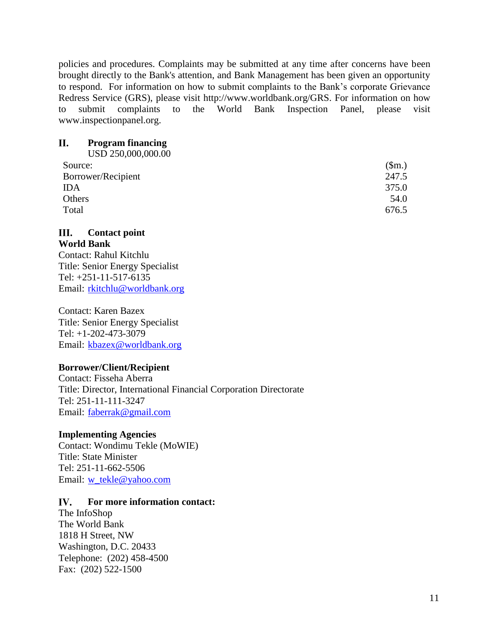policies and procedures. Complaints may be submitted at any time after concerns have been brought directly to the Bank's attention, and Bank Management has been given an opportunity to respond. For information on how to submit complaints to the Bank's corporate Grievance Redress Service (GRS), please visit [http://www.worldbank.org/GRS.](http://www.worldbank.org/GRM) For information on how to submit complaints to the World Bank Inspection Panel, please visit [www.inspectionpanel.org.](http://www.inspectionpanel.org/)

#### II. **Program financing**

| USD 250,000,000.00 |       |
|--------------------|-------|
| Source:            | \$m.) |
| Borrower/Recipient | 247.5 |
| <b>IDA</b>         | 375.0 |
| Others             | 54.0  |
| Total              | 676.5 |

#### III. **Contact point World Bank**

Contact: Rahul Kitchlu Title: Senior Energy Specialist Tel: +251-11-517-6135 Email: [rkitchlu@worldbank.org](mailto:rkitchlu@worldbank.org)

Contact: Karen Bazex Title: Senior Energy Specialist Tel: +1-202-473-3079 Email: [kbazex@worldbank.org](mailto:kbazex@worldbank.org)

## **Borrower/Client/Recipient**

Contact: Fisseha Aberra Title: Director, International Financial Corporation Directorate Tel: 251-11-111-3247 Email: [faberrak@gmail.com](mailto:faberrak@gmail.com)

## **Implementing Agencies**

Contact: Wondimu Tekle (MoWIE) Title: State Minister Tel: 251-11-662-5506 Email: [w\\_tekle@yahoo.com](mailto:w_tekle@yahoo.com)

#### IV. **For more information contact:**

The InfoShop The World Bank 1818 H Street, NW Washington, D.C. 20433 Telephone: (202) 458-4500 Fax: (202) 522-1500